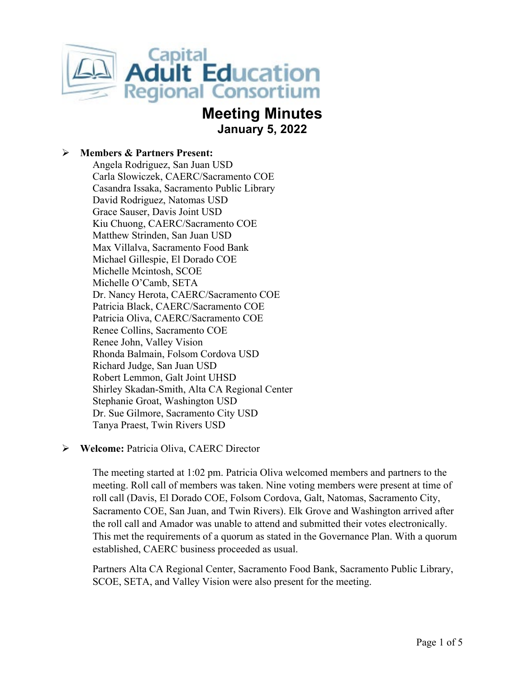

# **Meeting Minutes January 5, 2022**

#### **Members & Partners Present:**

Angela Rodriguez, San Juan USD Carla Slowiczek, CAERC/Sacramento COE Casandra Issaka, Sacramento Public Library David Rodriguez, Natomas USD Grace Sauser, Davis Joint USD Kiu Chuong, CAERC/Sacramento COE Matthew Strinden, San Juan USD Max Villalva, Sacramento Food Bank Michael Gillespie, El Dorado COE Michelle Mcintosh, SCOE Michelle O'Camb, SETA Dr. Nancy Herota, CAERC/Sacramento COE Patricia Black, CAERC/Sacramento COE Patricia Oliva, CAERC/Sacramento COE Renee Collins, Sacramento COE Renee John, Valley Vision Rhonda Balmain, Folsom Cordova USD Richard Judge, San Juan USD Robert Lemmon, Galt Joint UHSD Shirley Skadan-Smith, Alta CA Regional Center Stephanie Groat, Washington USD Dr. Sue Gilmore, Sacramento City USD Tanya Praest, Twin Rivers USD

#### **Welcome:** Patricia Oliva, CAERC Director

The meeting started at 1:02 pm. Patricia Oliva welcomed members and partners to the meeting. Roll call of members was taken. Nine voting members were present at time of roll call (Davis, El Dorado COE, Folsom Cordova, Galt, Natomas, Sacramento City, Sacramento COE, San Juan, and Twin Rivers). Elk Grove and Washington arrived after the roll call and Amador was unable to attend and submitted their votes electronically. This met the requirements of a quorum as stated in the Governance Plan. With a quorum established, CAERC business proceeded as usual.

Partners Alta CA Regional Center, Sacramento Food Bank, Sacramento Public Library, SCOE, SETA, and Valley Vision were also present for the meeting.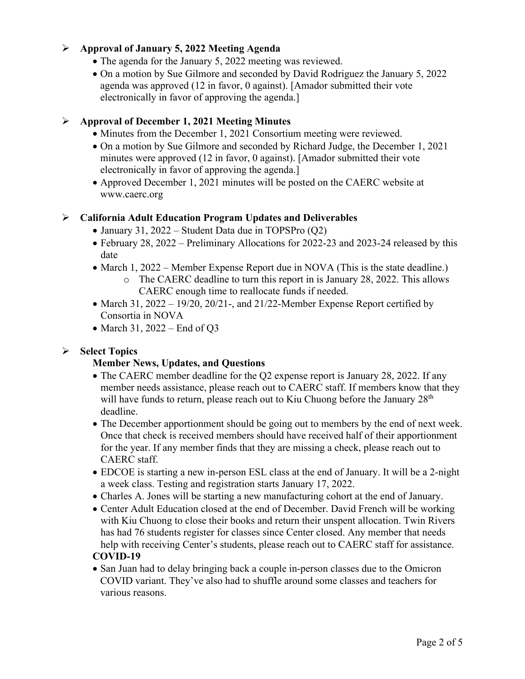#### **Approval of January 5, 2022 Meeting Agenda**

- The agenda for the January 5, 2022 meeting was reviewed.
- On a motion by Sue Gilmore and seconded by David Rodriguez the January 5, 2022 agenda was approved (12 in favor, 0 against). [Amador submitted their vote electronically in favor of approving the agenda.]

## **Approval of December 1, 2021 Meeting Minutes**

- Minutes from the December 1, 2021 Consortium meeting were reviewed.
- On a motion by Sue Gilmore and seconded by Richard Judge, the December 1, 2021 minutes were approved (12 in favor, 0 against). [Amador submitted their vote electronically in favor of approving the agenda.]
- Approved December 1, 2021 minutes will be posted on the CAERC website at www.caerc.org

#### **California Adult Education Program Updates and Deliverables**

- January 31, 2022 Student Data due in TOPSPro (Q2)
- February 28, 2022 Preliminary Allocations for 2022-23 and 2023-24 released by this date
- March 1, 2022 Member Expense Report due in NOVA (This is the state deadline.)
	- o The CAERC deadline to turn this report in is January 28, 2022. This allows CAERC enough time to reallocate funds if needed.
- March 31, 2022 19/20, 20/21-, and 21/22-Member Expense Report certified by Consortia in NOVA
- March 31, 2022 End of Q3

# **Select Topics**

#### **Member News, Updates, and Questions**

- The CAERC member deadline for the Q2 expense report is January 28, 2022. If any member needs assistance, please reach out to CAERC staff. If members know that they will have funds to return, please reach out to Kiu Chuong before the January  $28<sup>th</sup>$ deadline.
- The December apportionment should be going out to members by the end of next week. Once that check is received members should have received half of their apportionment for the year. If any member finds that they are missing a check, please reach out to CAERC staff.
- EDCOE is starting a new in-person ESL class at the end of January. It will be a 2-night a week class. Testing and registration starts January 17, 2022.
- Charles A. Jones will be starting a new manufacturing cohort at the end of January.
- Center Adult Education closed at the end of December. David French will be working with Kiu Chuong to close their books and return their unspent allocation. Twin Rivers has had 76 students register for classes since Center closed. Any member that needs help with receiving Center's students, please reach out to CAERC staff for assistance.

#### **COVID-19**

• San Juan had to delay bringing back a couple in-person classes due to the Omicron COVID variant. They've also had to shuffle around some classes and teachers for various reasons.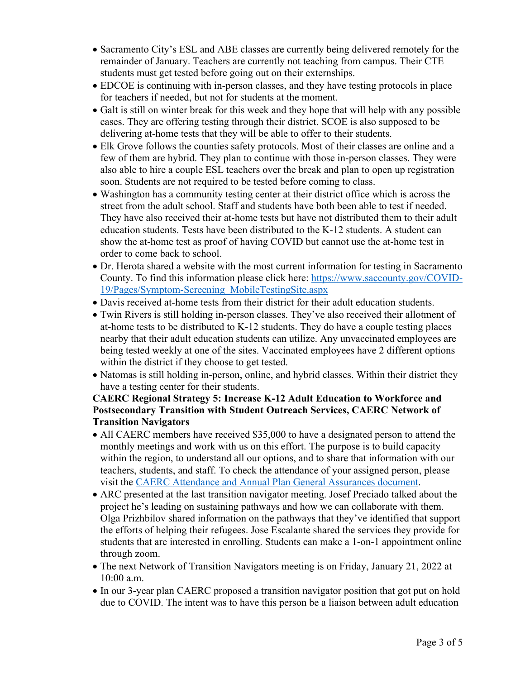- Sacramento City's ESL and ABE classes are currently being delivered remotely for the remainder of January. Teachers are currently not teaching from campus. Their CTE students must get tested before going out on their externships.
- EDCOE is continuing with in-person classes, and they have testing protocols in place for teachers if needed, but not for students at the moment.
- Galt is still on winter break for this week and they hope that will help with any possible cases. They are offering testing through their district. SCOE is also supposed to be delivering at-home tests that they will be able to offer to their students.
- Elk Grove follows the counties safety protocols. Most of their classes are online and a few of them are hybrid. They plan to continue with those in-person classes. They were also able to hire a couple ESL teachers over the break and plan to open up registration soon. Students are not required to be tested before coming to class.
- Washington has a community testing center at their district office which is across the street from the adult school. Staff and students have both been able to test if needed. They have also received their at-home tests but have not distributed them to their adult education students. Tests have been distributed to the K-12 students. A student can show the at-home test as proof of having COVID but cannot use the at-home test in order to come back to school.
- Dr. Herota shared a website with the most current information for testing in Sacramento County. To find this information please click here: [https://www.saccounty.gov/COVID-](https://www.saccounty.gov/COVID-19/Pages/Symptom-Screening_MobileTestingSite.aspx)[19/Pages/Symptom-Screening\\_MobileTestingSite.aspx](https://www.saccounty.gov/COVID-19/Pages/Symptom-Screening_MobileTestingSite.aspx)
- Davis received at-home tests from their district for their adult education students.
- Twin Rivers is still holding in-person classes. They've also received their allotment of at-home tests to be distributed to K-12 students. They do have a couple testing places nearby that their adult education students can utilize. Any unvaccinated employees are being tested weekly at one of the sites. Vaccinated employees have 2 different options within the district if they choose to get tested.
- Natomas is still holding in-person, online, and hybrid classes. Within their district they have a testing center for their students.

# **CAERC Regional Strategy 5: Increase K-12 Adult Education to Workforce and Postsecondary Transition with Student Outreach Services, CAERC Network of Transition Navigators**

- All CAERC members have received \$35,000 to have a designated person to attend the monthly meetings and work with us on this effort. The purpose is to build capacity within the region, to understand all our options, and to share that information with our teachers, students, and staff. To check the attendance of your assigned person, please visit the [CAERC Attendance and Annual Plan General Assurances document.](https://scoenet.sharepoint.com/:x:/g/Departments/CAERC/EYYwrj_IHF1DgSs7ATblN8oBgRIZmQFV9_c2RQs6Mo0kQQ?e=S9zFuZ)
- ARC presented at the last transition navigator meeting. Josef Preciado talked about the project he's leading on sustaining pathways and how we can collaborate with them. Olga Prizhbilov shared information on the pathways that they've identified that support the efforts of helping their refugees. Jose Escalante shared the services they provide for students that are interested in enrolling. Students can make a 1-on-1 appointment online through zoom.
- The next Network of Transition Navigators meeting is on Friday, January 21, 2022 at 10:00 a.m.
- In our 3-year plan CAERC proposed a transition navigator position that got put on hold due to COVID. The intent was to have this person be a liaison between adult education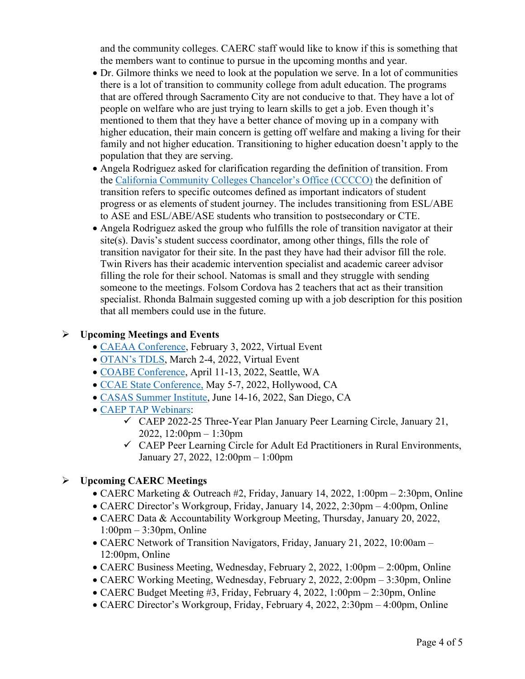and the community colleges. CAERC staff would like to know if this is something that the members want to continue to pursue in the upcoming months and year.

- Dr. Gilmore thinks we need to look at the population we serve. In a lot of communities there is a lot of transition to community college from adult education. The programs that are offered through Sacramento City are not conducive to that. They have a lot of people on welfare who are just trying to learn skills to get a job. Even though it's mentioned to them that they have a better chance of moving up in a company with higher education, their main concern is getting off welfare and making a living for their family and not higher education. Transitioning to higher education doesn't apply to the population that they are serving.
- Angela Rodriguez asked for clarification regarding the definition of transition. From the [California Community Colleges Chancelor's Office \(CCCCO\)](https://www.cccco.edu/About-Us/Chancellors-Office/Divisions/Workforce-and-Economic-Development/California-Adult-Education-Program/caep-faqs) the definition of transition refers to specific outcomes defined as important indicators of student progress or as elements of student journey. The includes transitioning from ESL/ABE to ASE and ESL/ABE/ASE students who transition to postsecondary or CTE.
- Angela Rodriguez asked the group who fulfills the role of transition navigator at their site(s). Davis's student success coordinator, among other things, fills the role of transition navigator for their site. In the past they have had their advisor fill the role. Twin Rivers has their academic intervention specialist and academic career advisor filling the role for their school. Natomas is small and they struggle with sending someone to the meetings. Folsom Cordova has 2 teachers that act as their transition specialist. Rhonda Balmain suggested coming up with a job description for this position that all members could use in the future.

#### **Upcoming Meetings and Events**

- [CAEAA Conference,](https://www.caeaa.org/2022-conference-registration.html) February 3, 2022, Virtual Event
- [OTAN's TDLS,](https://tdls.otan.us/) March 2-4, 2022, Virtual Event
- [COABE Conference,](https://coabe.org/2022-coabe-national-conference/) April 11-13, 2022, Seattle, WA
- [CCAE State Conference,](https://www.ccaestate.org/conference-2022.html) May 5-7, 2022, Hollywood, CA
- [CASAS Summer Institute,](https://www.casas.org/training-and-support/SI/prepare-for-2022) June 14-16, 2022, San Diego, CA
- [CAEP TAP Webinars:](https://caladulted.org/Events)
	- $\checkmark$  CAEP 2022-25 Three-Year Plan January Peer Learning Circle, January 21, 2022, 12:00pm – 1:30pm
	- $\checkmark$  CAEP Peer Learning Circle for Adult Ed Practitioners in Rural Environments, January 27, 2022, 12:00pm – 1:00pm

#### **Upcoming CAERC Meetings**

- CAERC Marketing & Outreach #2, Friday, January 14, 2022, 1:00pm 2:30pm, Online
- CAERC Director's Workgroup, Friday, January 14, 2022, 2:30pm 4:00pm, Online
- CAERC Data & Accountability Workgroup Meeting, Thursday, January 20, 2022, 1:00pm – 3:30pm, Online
- CAERC Network of Transition Navigators, Friday, January 21, 2022, 10:00am 12:00pm, Online
- CAERC Business Meeting, Wednesday, February 2, 2022, 1:00pm 2:00pm, Online
- CAERC Working Meeting, Wednesday, February 2, 2022, 2:00pm 3:30pm, Online
- CAERC Budget Meeting #3, Friday, February 4, 2022, 1:00pm 2:30pm, Online
- CAERC Director's Workgroup, Friday, February 4, 2022, 2:30pm 4:00pm, Online